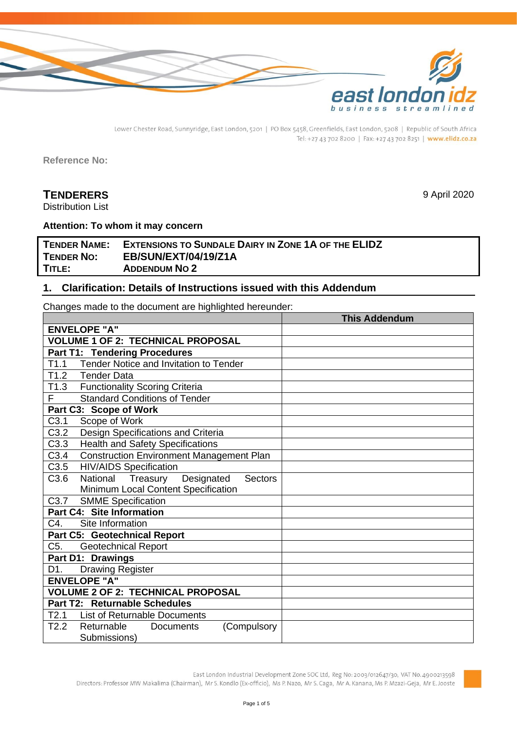

Lower Chester Road, Sunnyridge, East London, 5201 | PO Box 5458, Greenfields, East London, 5208 | Republic of South Africa Tel: +27 43 702 8200 | Fax: +27 43 702 8251 | www.elidz.co.za

**Reference No:**

# **TENDERERS** 9 April 2020

Distribution List

#### **Attention: To whom it may concern**

# **TENDER NAME: EXTENSIONS TO SUNDALE DAIRY IN ZONE 1A OF THE ELIDZ TENDER NO: EB/SUN/EXT/04/19/Z1A TITLE: ADDENDUM NO 2**

### **1. Clarification: Details of Instructions issued with this Addendum**

Changes made to the document are highlighted hereunder:

|                                                              | <b>This Addendum</b> |
|--------------------------------------------------------------|----------------------|
| <b>ENVELOPE "A"</b>                                          |                      |
| <b>VOLUME 1 OF 2: TECHNICAL PROPOSAL</b>                     |                      |
| <b>Part T1: Tendering Procedures</b>                         |                      |
| Tender Notice and Invitation to Tender<br>T1.1               |                      |
| T1.2 Tender Data                                             |                      |
| T1.3<br><b>Functionality Scoring Criteria</b>                |                      |
| <b>Standard Conditions of Tender</b><br>F                    |                      |
| Part C3: Scope of Work                                       |                      |
| C3.1<br>Scope of Work                                        |                      |
| $\overline{C3.2}$<br>Design Specifications and Criteria      |                      |
| C3.3<br><b>Health and Safety Specifications</b>              |                      |
| C3.4<br><b>Construction Environment Management Plan</b>      |                      |
| C3.5<br><b>HIV/AIDS Specification</b>                        |                      |
| Treasury<br>C3.6<br>National<br>Designated<br><b>Sectors</b> |                      |
| Minimum Local Content Specification                          |                      |
| C3.7<br><b>SMME Specification</b>                            |                      |
| Part C4: Site Information                                    |                      |
| C4.<br>Site Information                                      |                      |
| Part C5: Geotechnical Report                                 |                      |
| C <sub>5</sub> .<br><b>Geotechnical Report</b>               |                      |
| Part D1: Drawings                                            |                      |
| D1.<br><b>Drawing Register</b>                               |                      |
| <b>ENVELOPE "A"</b>                                          |                      |
| <b>VOLUME 2 OF 2: TECHNICAL PROPOSAL</b>                     |                      |
| Part T2: Returnable Schedules                                |                      |
| T2.1<br><b>List of Returnable Documents</b>                  |                      |
| T2.2<br>Returnable<br>(Compulsory<br>Documents               |                      |
| Submissions)                                                 |                      |

East London Industrial Development Zone SOC Ltd, Reg No: 2003/012647/30, VAT No. 4900213598 Directors: Professor MW Makalima (Chairman), Mr S. Kondlo (Ex-officio), Ms P. Nazo, Mr S. Caga, Mr A. Kanana, Ms P. Mzazi-Geja, Mr E. Jooste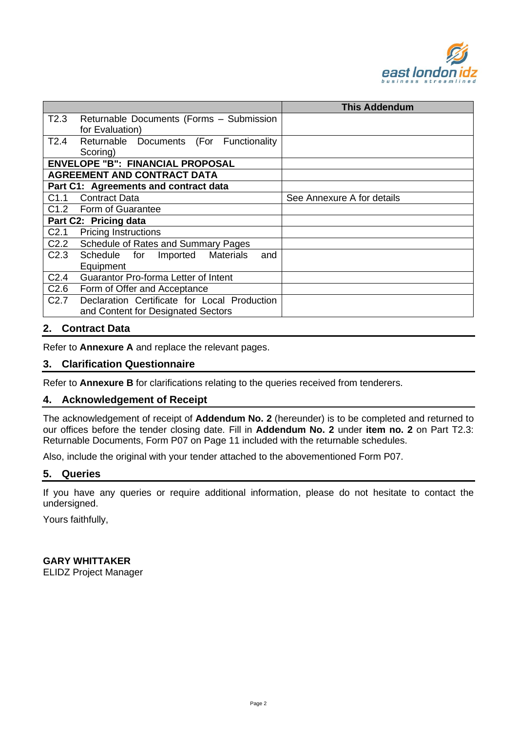

|                  |                                                     | <b>This Addendum</b>       |
|------------------|-----------------------------------------------------|----------------------------|
| T2.3             | Returnable Documents (Forms - Submission            |                            |
|                  | for Evaluation)                                     |                            |
| T2.4             | Returnable Documents<br>(For<br>Functionality       |                            |
|                  | Scoring)                                            |                            |
|                  | <b>ENVELOPE "B": FINANCIAL PROPOSAL</b>             |                            |
|                  | <b>AGREEMENT AND CONTRACT DATA</b>                  |                            |
|                  | Part C1: Agreements and contract data               |                            |
| C1.1             | <b>Contract Data</b>                                | See Annexure A for details |
|                  | C1.2 Form of Guarantee                              |                            |
|                  | Part C2: Pricing data                               |                            |
| C <sub>2.1</sub> | <b>Pricing Instructions</b>                         |                            |
| C2.2             | Schedule of Rates and Summary Pages                 |                            |
| C <sub>2.3</sub> | Schedule for<br><b>Materials</b><br>Imported<br>and |                            |
|                  | Equipment                                           |                            |
| C <sub>2.4</sub> | Guarantor Pro-forma Letter of Intent                |                            |
| C <sub>2.6</sub> | Form of Offer and Acceptance                        |                            |
| C <sub>2.7</sub> | Declaration Certificate for Local Production        |                            |
|                  | and Content for Designated Sectors                  |                            |

# **2. Contract Data**

Refer to **Annexure A** and replace the relevant pages.

### **3. Clarification Questionnaire**

Refer to **Annexure B** for clarifications relating to the queries received from tenderers.

### **4. Acknowledgement of Receipt**

The acknowledgement of receipt of **Addendum No. 2** (hereunder) is to be completed and returned to our offices before the tender closing date. Fill in **Addendum No. 2** under **item no. 2** on Part T2.3: Returnable Documents, Form P07 on Page 11 included with the returnable schedules.

Also, include the original with your tender attached to the abovementioned Form P07.

#### **5. Queries**

If you have any queries or require additional information, please do not hesitate to contact the undersigned.

Yours faithfully,

#### **GARY WHITTAKER**

ELIDZ Project Manager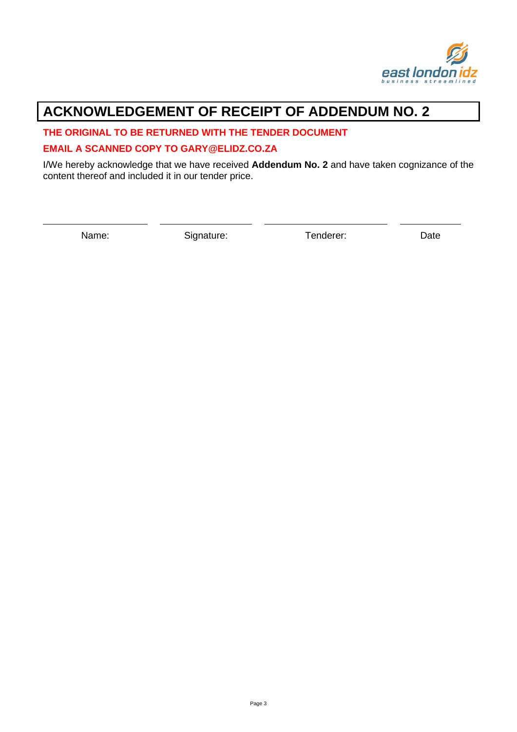

# **ACKNOWLEDGEMENT OF RECEIPT OF ADDENDUM NO. 2**

## **THE ORIGINAL TO BE RETURNED WITH THE TENDER DOCUMENT**

## **EMAIL A SCANNED COPY TO GARY@ELIDZ.CO.ZA**

I/We hereby acknowledge that we have received **Addendum No. 2** and have taken cognizance of the content thereof and included it in our tender price.

Name: Signature: Tenderer: Date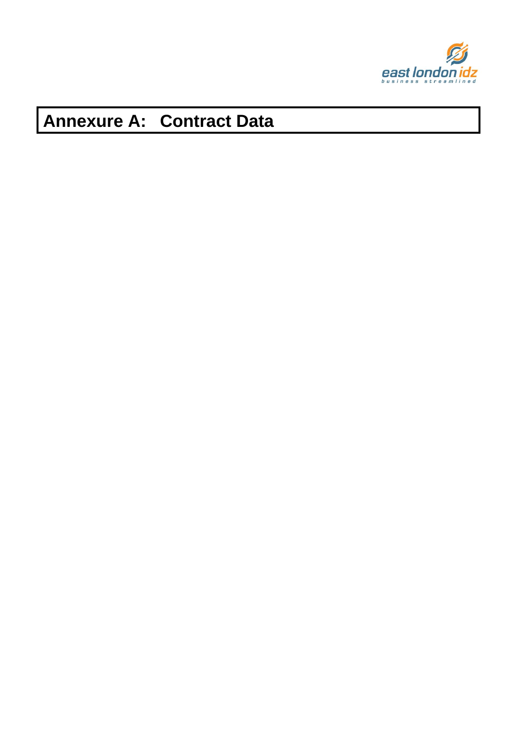

# **Annexure A: Contract Data**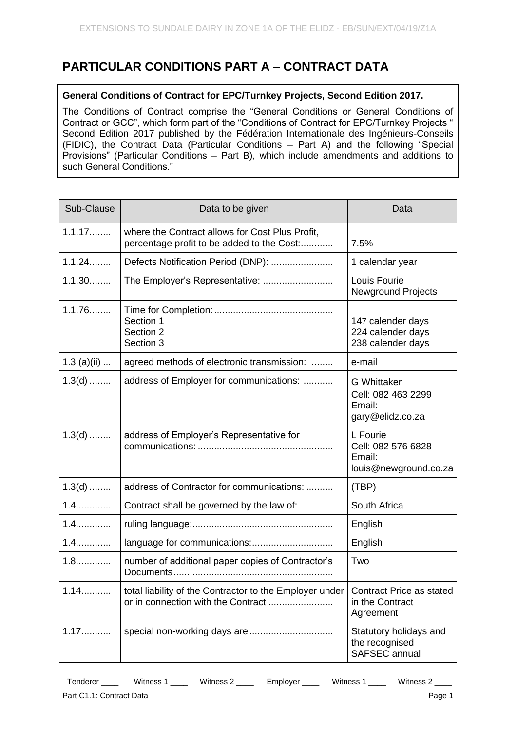# **PARTICULAR CONDITIONS PART A – CONTRACT DATA**

# **General Conditions of Contract for EPC/Turnkey Projects, Second Edition 2017.**

The Conditions of Contract comprise the "General Conditions or General Conditions of Contract or GCC", which form part of the "Conditions of Contract for EPC/Turnkey Projects " Second Edition 2017 published by the Fédération Internationale des Ingénieurs-Conseils (FIDIC), the Contract Data (Particular Conditions – Part A) and the following "Special Provisions" (Particular Conditions – Part B), which include amendments and additions to such General Conditions."

| Sub-Clause    | Data to be given                                                                              | Data                                                                   |
|---------------|-----------------------------------------------------------------------------------------------|------------------------------------------------------------------------|
| 1.1.17        | where the Contract allows for Cost Plus Profit,<br>percentage profit to be added to the Cost: | 7.5%                                                                   |
| 1.1.24        | Defects Notification Period (DNP):                                                            | 1 calendar year                                                        |
| 1.1.30        | The Employer's Representative:                                                                | Louis Fourie<br><b>Newground Projects</b>                              |
| 1.1.76        | Section 1<br>Section 2<br>Section 3                                                           | 147 calender days<br>224 calender days<br>238 calender days            |
| $1.3$ (a)(ii) | agreed methods of electronic transmission:                                                    | e-mail                                                                 |
| $1.3(d)$      | address of Employer for communications:                                                       | <b>G</b> Whittaker<br>Cell: 082 463 2299<br>Email:<br>gary@elidz.co.za |
| $1.3(d)$      | address of Employer's Representative for                                                      | L Fourie<br>Cell: 082 576 6828<br>Email:<br>louis@newground.co.za      |
| $1.3(d)$      | address of Contractor for communications:                                                     | (TBP)                                                                  |
| $1.4$         | Contract shall be governed by the law of:                                                     | South Africa                                                           |
| $1.4$         |                                                                                               | English                                                                |
| $1.4$         | language for communications:                                                                  | English                                                                |
| $1.8$         | number of additional paper copies of Contractor's                                             | Two                                                                    |
| $1.14$        | total liability of the Contractor to the Employer under   Contract Price as stated            | in the Contract<br>Agreement                                           |
| $1.17$        |                                                                                               | Statutory holidays and<br>the recognised<br><b>SAFSEC</b> annual       |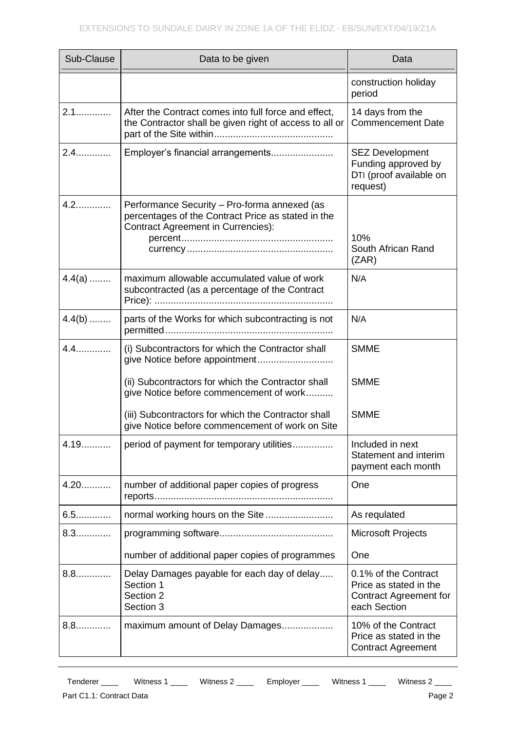| Sub-Clause | Data to be given                                                                                                                                | Data                                                                                            |
|------------|-------------------------------------------------------------------------------------------------------------------------------------------------|-------------------------------------------------------------------------------------------------|
|            |                                                                                                                                                 | construction holiday<br>period                                                                  |
| $2.1$      | After the Contract comes into full force and effect,<br>the Contractor shall be given right of access to all or                                 | 14 days from the<br><b>Commencement Date</b>                                                    |
| $2.4$      | Employer's financial arrangements                                                                                                               | <b>SEZ Development</b><br>Funding approved by<br>DTI (proof available on<br>request)            |
| $4.2$      | Performance Security - Pro-forma annexed (as<br>percentages of the Contract Price as stated in the<br><b>Contract Agreement in Currencies):</b> | 10%<br>South African Rand<br>(ZAR)                                                              |
| $4.4(a)$   | maximum allowable accumulated value of work<br>subcontracted (as a percentage of the Contract                                                   | N/A                                                                                             |
| $4.4(b)$   | parts of the Works for which subcontracting is not                                                                                              | N/A                                                                                             |
| $4.4$      | (i) Subcontractors for which the Contractor shall<br>give Notice before appointment                                                             | <b>SMME</b>                                                                                     |
|            | (ii) Subcontractors for which the Contractor shall<br>give Notice before commencement of work                                                   | <b>SMME</b>                                                                                     |
|            | (iii) Subcontractors for which the Contractor shall<br>give Notice before commencement of work on Site                                          | <b>SMME</b>                                                                                     |
| 4.19       | period of payment for temporary utilities                                                                                                       | Included in next<br>Statement and interim<br>payment each month                                 |
| $4.20$     | number of additional paper copies of progress                                                                                                   | One                                                                                             |
| $6.5$      | normal working hours on the Site                                                                                                                | As requlated                                                                                    |
| $8.3$      |                                                                                                                                                 | <b>Microsoft Projects</b>                                                                       |
|            | number of additional paper copies of programmes                                                                                                 | One                                                                                             |
| 8.8        | Delay Damages payable for each day of delay<br>Section 1<br>Section 2<br>Section 3                                                              | 0.1% of the Contract<br>Price as stated in the<br><b>Contract Agreement for</b><br>each Section |
| $8.8$      | maximum amount of Delay Damages                                                                                                                 | 10% of the Contract<br>Price as stated in the<br><b>Contract Agreement</b>                      |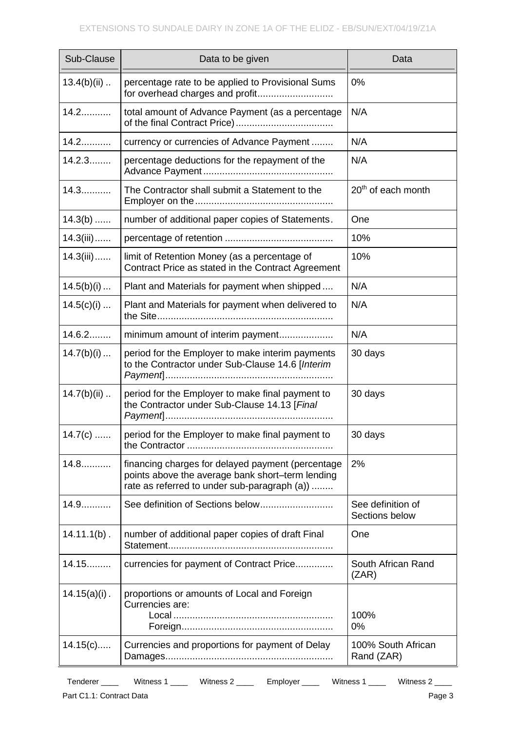| Sub-Clause      | Data to be given                                                                                                                                      | Data                                |
|-----------------|-------------------------------------------------------------------------------------------------------------------------------------------------------|-------------------------------------|
| $13.4(b)(ii)$   | percentage rate to be applied to Provisional Sums<br>for overhead charges and profit                                                                  | 0%                                  |
| $14.2$          | total amount of Advance Payment (as a percentage                                                                                                      | N/A                                 |
| $14.2$          | currency or currencies of Advance Payment                                                                                                             | N/A                                 |
| 14.2.3          | percentage deductions for the repayment of the                                                                                                        | N/A                                 |
| $14.3$          | The Contractor shall submit a Statement to the                                                                                                        | 20 <sup>th</sup> of each month      |
| $14.3(b)$       | number of additional paper copies of Statements.                                                                                                      | One                                 |
| $14.3(iii)$     |                                                                                                                                                       | 10%                                 |
| $14.3(iii)$     | limit of Retention Money (as a percentage of<br>Contract Price as stated in the Contract Agreement                                                    | 10%                                 |
| 14.5(b)(i)      | Plant and Materials for payment when shipped                                                                                                          | N/A                                 |
| 14.5(c)(i)      | Plant and Materials for payment when delivered to                                                                                                     | N/A                                 |
| 14.6.2          | minimum amount of interim payment                                                                                                                     | N/A                                 |
| 14.7(b)(i)      | period for the Employer to make interim payments<br>to the Contractor under Sub-Clause 14.6 [Interim                                                  | 30 days                             |
| $14.7(b)(ii)$   | period for the Employer to make final payment to<br>the Contractor under Sub-Clause 14.13 [Final                                                      | 30 days                             |
| 14.7(c)         | period for the Employer to make final payment to                                                                                                      | 30 days                             |
| $14.8$          | financing charges for delayed payment (percentage<br>points above the average bank short-term lending<br>rate as referred to under sub-paragraph (a)) | 2%                                  |
| $14.9$          | See definition of Sections below                                                                                                                      | See definition of<br>Sections below |
| $14.11.1(b)$ .  | number of additional paper copies of draft Final                                                                                                      | One                                 |
| 14.15           | currencies for payment of Contract Price                                                                                                              | South African Rand<br>(ZAR)         |
| $14.15(a)(i)$ . | proportions or amounts of Local and Foreign<br>Currencies are:                                                                                        | 100%<br>0%                          |
| 14.15(c)        | Currencies and proportions for payment of Delay                                                                                                       | 100% South African<br>Rand (ZAR)    |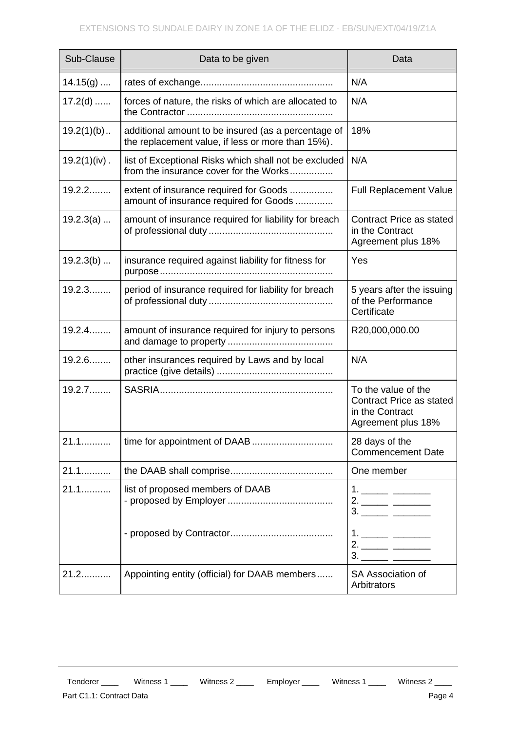| Sub-Clause      | Data to be given                                                                                         | Data                                                                                            |
|-----------------|----------------------------------------------------------------------------------------------------------|-------------------------------------------------------------------------------------------------|
| $14.15(g)$      |                                                                                                          | N/A                                                                                             |
| $17.2(d)$       | forces of nature, the risks of which are allocated to                                                    | N/A                                                                                             |
| $19.2(1)(b)$    | additional amount to be insured (as a percentage of<br>the replacement value, if less or more than 15%). | 18%                                                                                             |
| $19.2(1)(iv)$ . | list of Exceptional Risks which shall not be excluded<br>from the insurance cover for the Works          | N/A                                                                                             |
| $19.2.2$        | extent of insurance required for Goods<br>amount of insurance required for Goods                         | <b>Full Replacement Value</b>                                                                   |
| 19.2.3(a)       | amount of insurance required for liability for breach                                                    | <b>Contract Price as stated</b><br>in the Contract<br>Agreement plus 18%                        |
| $19.2.3(b)$     | insurance required against liability for fitness for                                                     | Yes                                                                                             |
| 19.2.3          | period of insurance required for liability for breach                                                    | 5 years after the issuing<br>of the Performance<br>Certificate                                  |
| 19.2.4          | amount of insurance required for injury to persons                                                       | R20,000,000.00                                                                                  |
| $19.2.6$        | other insurances required by Laws and by local                                                           | N/A                                                                                             |
| 19.2.7          |                                                                                                          | To the value of the<br><b>Contract Price as stated</b><br>in the Contract<br>Agreement plus 18% |
| 21.1            | time for appointment of DAAB                                                                             | 28 days of the<br><b>Commencement Date</b>                                                      |
| $21.1$          |                                                                                                          | One member                                                                                      |
| 21.1            | list of proposed members of DAAB                                                                         | 1. ______ _______                                                                               |
|                 |                                                                                                          | 1. ______ _______                                                                               |
| 21.2            | Appointing entity (official) for DAAB members                                                            | SA Association of<br>Arbitrators                                                                |

# Part C1.1: Contract Data **Page 4**

Tenderer \_\_\_\_ Witness 1 \_\_\_\_ Witness 2 \_\_\_\_ Employer \_\_\_\_ Witness 1 \_\_\_\_ Witness 2 \_\_\_\_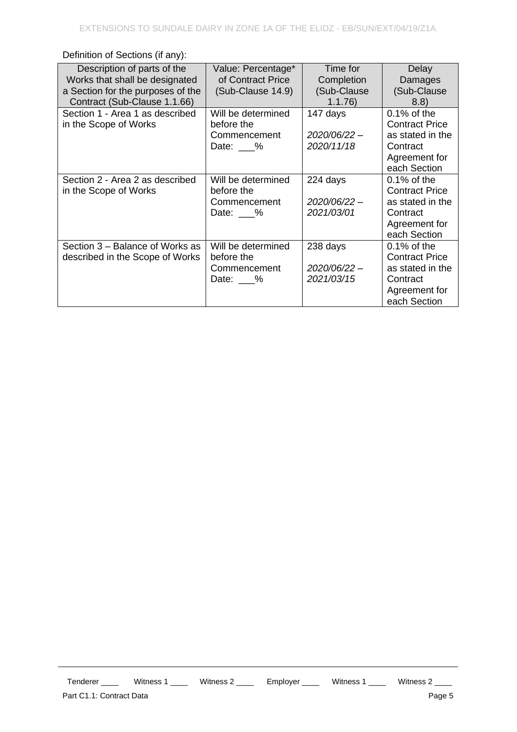| Description of parts of the<br>Works that shall be designated<br>a Section for the purposes of the<br>Contract (Sub-Clause 1.1.66) | Value: Percentage*<br>of Contract Price<br>(Sub-Clause 14.9)       | Time for<br>Completion<br>(Sub-Clause<br>1.1.76 | Delay<br>Damages<br>(Sub-Clause<br>(8.8)                                                                 |
|------------------------------------------------------------------------------------------------------------------------------------|--------------------------------------------------------------------|-------------------------------------------------|----------------------------------------------------------------------------------------------------------|
| Section 1 - Area 1 as described<br>in the Scope of Works                                                                           | Will be determined<br>before the<br>Commencement<br>Date: $\_\_\%$ | 147 days<br>2020/06/22-<br>2020/11/18           | $0.1\%$ of the<br><b>Contract Price</b><br>as stated in the<br>Contract<br>Agreement for<br>each Section |
| Section 2 - Area 2 as described<br>in the Scope of Works                                                                           | Will be determined<br>before the<br>Commencement<br>Date: $\_\_\%$ | 224 days<br>2020/06/22-<br>2021/03/01           | $0.1\%$ of the<br><b>Contract Price</b><br>as stated in the<br>Contract<br>Agreement for<br>each Section |
| Section 3 – Balance of Works as<br>described in the Scope of Works                                                                 | Will be determined<br>before the<br>Commencement<br>Date: %        | 238 days<br>2020/06/22-<br>2021/03/15           | $0.1\%$ of the<br><b>Contract Price</b><br>as stated in the<br>Contract<br>Agreement for<br>each Section |

Definition of Sections (if any):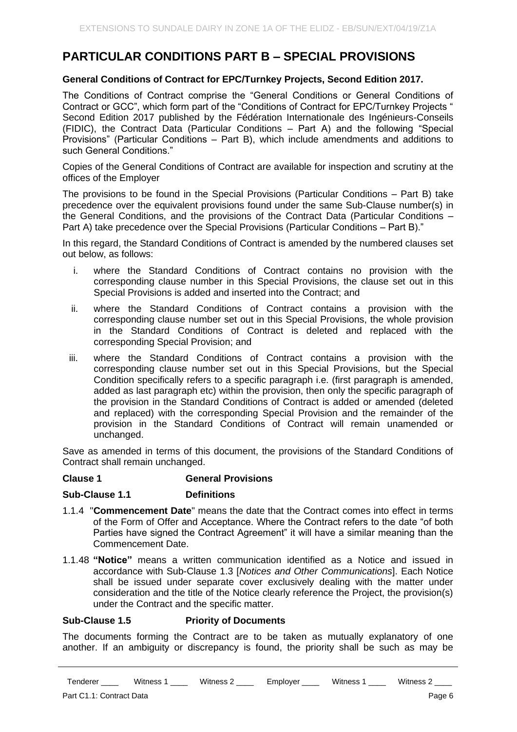# **PARTICULAR CONDITIONS PART B – SPECIAL PROVISIONS**

# **General Conditions of Contract for EPC/Turnkey Projects, Second Edition 2017.**

The Conditions of Contract comprise the "General Conditions or General Conditions of Contract or GCC", which form part of the "Conditions of Contract for EPC/Turnkey Projects " Second Edition 2017 published by the Fédération Internationale des Ingénieurs-Conseils (FIDIC), the Contract Data (Particular Conditions – Part A) and the following "Special Provisions" (Particular Conditions – Part B), which include amendments and additions to such General Conditions."

Copies of the General Conditions of Contract are available for inspection and scrutiny at the offices of the Employer

The provisions to be found in the Special Provisions (Particular Conditions – Part B) take precedence over the equivalent provisions found under the same Sub-Clause number(s) in the General Conditions, and the provisions of the Contract Data (Particular Conditions – Part A) take precedence over the Special Provisions (Particular Conditions – Part B)."

In this regard, the Standard Conditions of Contract is amended by the numbered clauses set out below, as follows:

- i. where the Standard Conditions of Contract contains no provision with the corresponding clause number in this Special Provisions, the clause set out in this Special Provisions is added and inserted into the Contract; and
- ii. where the Standard Conditions of Contract contains a provision with the corresponding clause number set out in this Special Provisions, the whole provision in the Standard Conditions of Contract is deleted and replaced with the corresponding Special Provision; and
- iii. where the Standard Conditions of Contract contains a provision with the corresponding clause number set out in this Special Provisions, but the Special Condition specifically refers to a specific paragraph i.e. (first paragraph is amended, added as last paragraph etc) within the provision, then only the specific paragraph of the provision in the Standard Conditions of Contract is added or amended (deleted and replaced) with the corresponding Special Provision and the remainder of the provision in the Standard Conditions of Contract will remain unamended or unchanged.

Save as amended in terms of this document, the provisions of the Standard Conditions of Contract shall remain unchanged.

### **Clause 1 General Provisions**

#### **Sub-Clause 1.1 Definitions**

- 1.1.4 "**Commencement Date**" means the date that the Contract comes into effect in terms of the Form of Offer and Acceptance. Where the Contract refers to the date "of both Parties have signed the Contract Agreement" it will have a similar meaning than the Commencement Date.
- 1.1.48 **"Notice"** means a written communication identified as a Notice and issued in accordance with Sub-Clause 1.3 [*Notices and Other Communications*]. Each Notice shall be issued under separate cover exclusively dealing with the matter under consideration and the title of the Notice clearly reference the Project, the provision(s) under the Contract and the specific matter.

### **Sub-Clause 1.5 Priority of Documents**

The documents forming the Contract are to be taken as mutually explanatory of one another. If an ambiguity or discrepancy is found, the priority shall be such as may be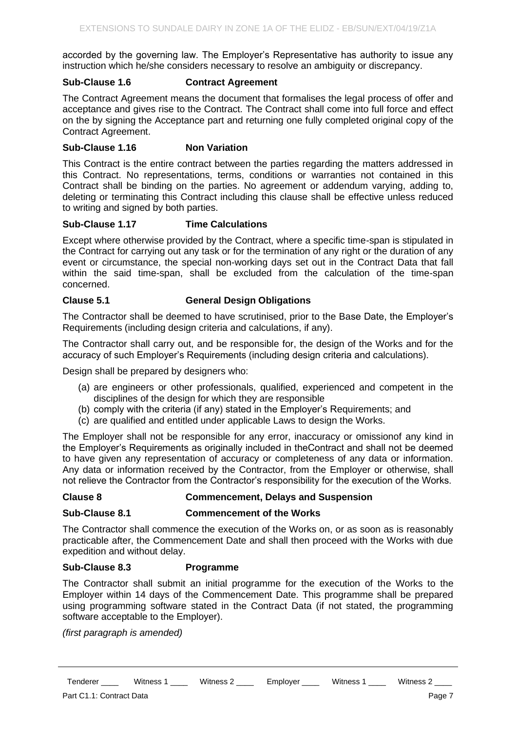accorded by the governing law. The Employer's Representative has authority to issue any instruction which he/she considers necessary to resolve an ambiguity or discrepancy.

## **Sub-Clause 1.6 Contract Agreement**

The Contract Agreement means the document that formalises the legal process of offer and acceptance and gives rise to the Contract. The Contract shall come into full force and effect on the by signing the Acceptance part and returning one fully completed original copy of the Contract Agreement.

# **Sub-Clause 1.16 Non Variation**

This Contract is the entire contract between the parties regarding the matters addressed in this Contract. No representations, terms, conditions or warranties not contained in this Contract shall be binding on the parties. No agreement or addendum varying, adding to, deleting or terminating this Contract including this clause shall be effective unless reduced to writing and signed by both parties.

## **Sub-Clause 1.17 Time Calculations**

Except where otherwise provided by the Contract, where a specific time-span is stipulated in the Contract for carrying out any task or for the termination of any right or the duration of any event or circumstance, the special non-working days set out in the Contract Data that fall within the said time-span, shall be excluded from the calculation of the time-span concerned.

# **Clause 5.1 General Design Obligations**

The Contractor shall be deemed to have scrutinised, prior to the Base Date, the Employer's Requirements (including design criteria and calculations, if any).

The Contractor shall carry out, and be responsible for, the design of the Works and for the accuracy of such Employer's Requirements (including design criteria and calculations).

Design shall be prepared by designers who:

- (a) are engineers or other professionals, qualified, experienced and competent in the disciplines of the design for which they are responsible
- (b) comply with the criteria (if any) stated in the Employer's Requirements; and
- (c) are qualified and entitled under applicable Laws to design the Works.

The Employer shall not be responsible for any error, inaccuracy or omissionof any kind in the Employer's Requirements as originally included in theContract and shall not be deemed to have given any representation of accuracy or completeness of any data or information. Any data or information received by the Contractor, from the Employer or otherwise, shall not relieve the Contractor from the Contractor's responsibility for the execution of the Works.

### **Clause 8 Commencement, Delays and Suspension**

### **Sub-Clause 8.1 Commencement of the Works**

The Contractor shall commence the execution of the Works on, or as soon as is reasonably practicable after, the Commencement Date and shall then proceed with the Works with due expedition and without delay.

### **Sub-Clause 8.3 Programme**

The Contractor shall submit an initial programme for the execution of the Works to the Employer within 14 days of the Commencement Date. This programme shall be prepared using programming software stated in the Contract Data (if not stated, the programming software acceptable to the Employer).

*(first paragraph is amended)*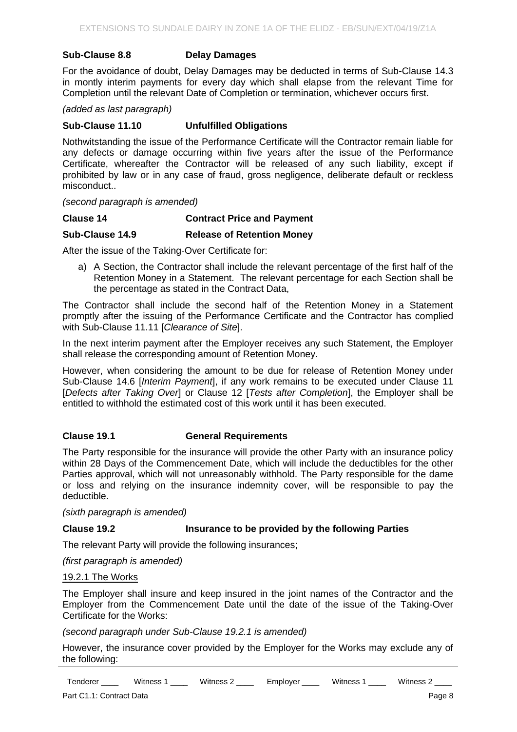#### **Sub-Clause 8.8 Delay Damages**

For the avoidance of doubt, Delay Damages may be deducted in terms of Sub-Clause 14.3 in montly interim payments for every day which shall elapse from the relevant Time for Completion until the relevant Date of Completion or termination, whichever occurs first.

*(added as last paragraph)*

#### **Sub-Clause 11.10 Unfulfilled Obligations**

Nothwitstanding the issue of the Performance Certificate will the Contractor remain liable for any defects or damage occurring within five years after the issue of the Performance Certificate, whereafter the Contractor will be released of any such liability, except if prohibited by law or in any case of fraud, gross negligence, deliberate default or reckless misconduct..

*(second paragraph is amended)*

**Clause 14 Contract Price and Payment**

#### **Sub-Clause 14.9 Release of Retention Money**

After the issue of the Taking-Over Certificate for:

a) A Section, the Contractor shall include the relevant percentage of the first half of the Retention Money in a Statement. The relevant percentage for each Section shall be the percentage as stated in the Contract Data,

The Contractor shall include the second half of the Retention Money in a Statement promptly after the issuing of the Performance Certificate and the Contractor has complied with Sub-Clause 11.11 [*Clearance of Site*].

In the next interim payment after the Employer receives any such Statement, the Employer shall release the corresponding amount of Retention Money.

However, when considering the amount to be due for release of Retention Money under Sub-Clause 14.6 [*Interim Payment*], if any work remains to be executed under Clause 11 [*Defects after Taking Over*] or Clause 12 [*Tests after Completion*], the Employer shall be entitled to withhold the estimated cost of this work until it has been executed.

### **Clause 19.1 General Requirements**

The Party responsible for the insurance will provide the other Party with an insurance policy within 28 Days of the Commencement Date, which will include the deductibles for the other Parties approval, which will not unreasonably withhold. The Party responsible for the dame or loss and relying on the insurance indemnity cover, will be responsible to pay the deductible.

*(sixth paragraph is amended)*

### **Clause 19.2 Insurance to be provided by the following Parties**

The relevant Party will provide the following insurances;

*(first paragraph is amended)*

#### 19.2.1 The Works

The Employer shall insure and keep insured in the joint names of the Contractor and the Employer from the Commencement Date until the date of the issue of the Taking-Over Certificate for the Works:

*(second paragraph under Sub-Clause 19.2.1 is amended)*

However, the insurance cover provided by the Employer for the Works may exclude any of the following:

Tenderer \_\_\_\_\_ Witness 1 \_\_\_\_ Witness 2 \_\_\_\_ Employer \_\_\_\_ Witness 1 \_\_\_\_ Witness 2 \_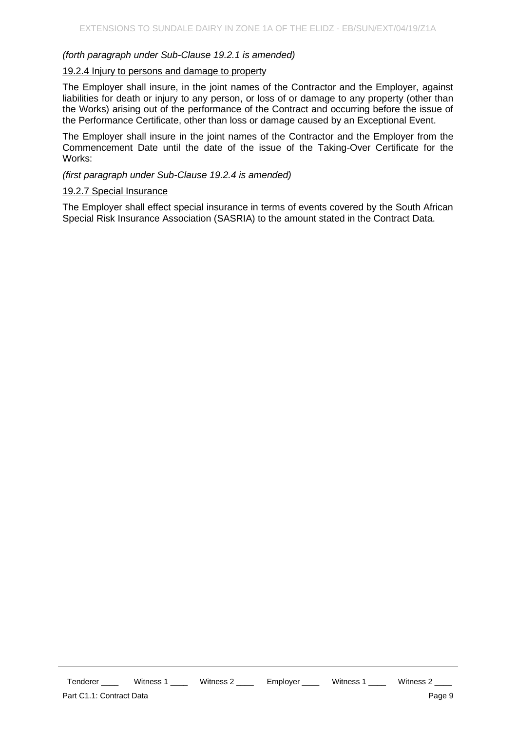## *(forth paragraph under Sub-Clause 19.2.1 is amended)*

#### 19.2.4 Injury to persons and damage to property

The Employer shall insure, in the joint names of the Contractor and the Employer, against liabilities for death or injury to any person, or loss of or damage to any property (other than the Works) arising out of the performance of the Contract and occurring before the issue of the Performance Certificate, other than loss or damage caused by an Exceptional Event.

The Employer shall insure in the joint names of the Contractor and the Employer from the Commencement Date until the date of the issue of the Taking-Over Certificate for the Works:

#### *(first paragraph under Sub-Clause 19.2.4 is amended)*

#### 19.2.7 Special Insurance

The Employer shall effect special insurance in terms of events covered by the South African Special Risk Insurance Association (SASRIA) to the amount stated in the Contract Data.

Tenderer \_\_\_\_\_ Witness 1 \_\_\_\_ Witness 2 \_\_\_\_ Employer \_\_\_\_ Witness 1 \_\_\_\_ Witness 2 \_\_ Part C1.1: Contract Data **Page 9**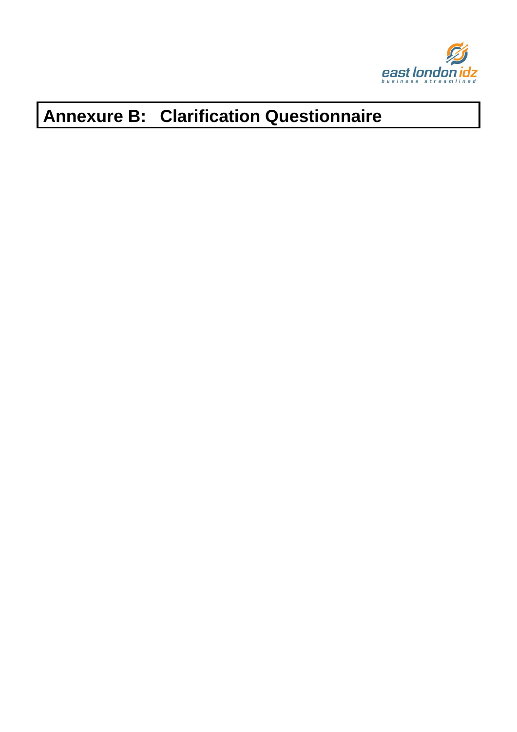

# **Annexure B: Clarification Questionnaire**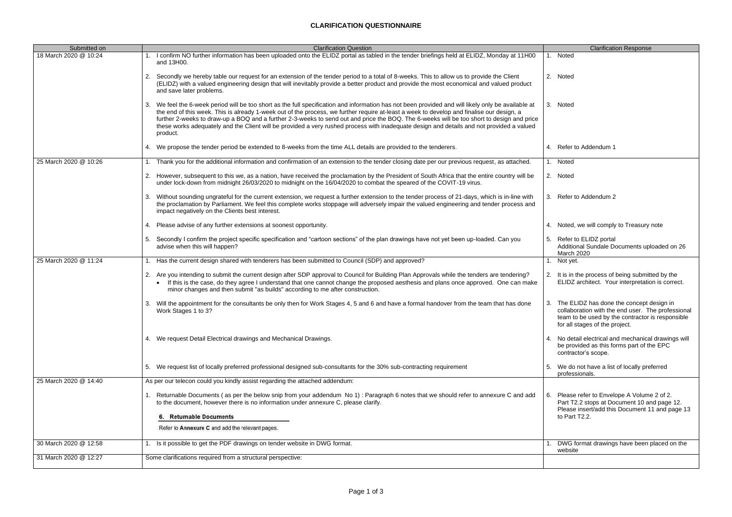# **CLARIFICATION QUESTIONNAIRE**

| Submitted on          | <b>Clarification Question</b>                                                                                                                                                                                                                                                                                                                                                                                                                                                                                                                                                                             | <b>Clarification Response</b>                                                                                                                                                         |
|-----------------------|-----------------------------------------------------------------------------------------------------------------------------------------------------------------------------------------------------------------------------------------------------------------------------------------------------------------------------------------------------------------------------------------------------------------------------------------------------------------------------------------------------------------------------------------------------------------------------------------------------------|---------------------------------------------------------------------------------------------------------------------------------------------------------------------------------------|
| 18 March 2020 @ 10:24 | I confirm NO further information has been uploaded onto the ELIDZ portal as tabled in the tender briefings held at ELIDZ, Monday at 11H00<br>and 13H00.                                                                                                                                                                                                                                                                                                                                                                                                                                                   | 1. Noted                                                                                                                                                                              |
|                       | Secondly we hereby table our request for an extension of the tender period to a total of 8-weeks. This to allow us to provide the Client<br>(ELIDZ) with a valued engineering design that will inevitably provide a better product and provide the most economical and valued product<br>and save later problems.                                                                                                                                                                                                                                                                                         | 2. Noted                                                                                                                                                                              |
|                       | We feel the 6-week period will be too short as the full specification and information has not been provided and will likely only be available at<br>3.<br>the end of this week. This is already 1-week out of the process, we further require at-least a week to develop and finalise our design, a<br>further 2-weeks to draw-up a BOQ and a further 2-3-weeks to send out and price the BOQ. The 6-weeks will be too short to design and price<br>these works adequately and the Client will be provided a very rushed process with inadequate design and details and not provided a valued<br>product. | 3. Noted                                                                                                                                                                              |
|                       | 4. We propose the tender period be extended to 8-weeks from the time ALL details are provided to the tenderers.                                                                                                                                                                                                                                                                                                                                                                                                                                                                                           | 4. Refer to Addendum 1                                                                                                                                                                |
| 25 March 2020 @ 10:26 | Thank you for the additional information and confirmation of an extension to the tender closing date per our previous request, as attached.                                                                                                                                                                                                                                                                                                                                                                                                                                                               | 1. Noted                                                                                                                                                                              |
|                       | 2. However, subsequent to this we, as a nation, have received the proclamation by the President of South Africa that the entire country will be<br>under lock-down from midnight 26/03/2020 to midnight on the 16/04/2020 to combat the speared of the COVIT-19 virus.                                                                                                                                                                                                                                                                                                                                    | 2. Noted                                                                                                                                                                              |
|                       | Without sounding ungrateful for the current extension, we request a further extension to the tender process of 21-days, which is in-line with<br>3.<br>the proclamation by Parliament. We feel this complete works stoppage will adversely impair the valued engineering and tender process and<br>impact negatively on the Clients best interest.                                                                                                                                                                                                                                                        | 3. Refer to Addendum 2                                                                                                                                                                |
|                       | 4. Please advise of any further extensions at soonest opportunity.                                                                                                                                                                                                                                                                                                                                                                                                                                                                                                                                        | 4. Noted, we will comply to Treasury note                                                                                                                                             |
|                       | Secondly I confirm the project specific specification and "cartoon sections" of the plan drawings have not yet been up-loaded. Can you<br>5.<br>advise when this will happen?                                                                                                                                                                                                                                                                                                                                                                                                                             | 5. Refer to ELIDZ portal<br>Additional Sundale Documents uploaded on 26<br>March 2020                                                                                                 |
| 25 March 2020 @ 11:24 | Has the current design shared with tenderers has been submitted to Council (SDP) and approved?                                                                                                                                                                                                                                                                                                                                                                                                                                                                                                            | 1. Not yet.                                                                                                                                                                           |
|                       | 2. Are you intending to submit the current design after SDP approval to Council for Building Plan Approvals while the tenders are tendering?<br>If this is the case, do they agree I understand that one cannot change the proposed aesthesis and plans once approved. One can make<br>minor changes and then submit "as builds" according to me after construction.                                                                                                                                                                                                                                      | 2. It is in the process of being submitted by the<br>ELIDZ architect. Your interpretation is correct.                                                                                 |
|                       | 3. Will the appointment for the consultants be only then for Work Stages 4, 5 and 6 and have a formal handover from the team that has done<br>Work Stages 1 to 3?                                                                                                                                                                                                                                                                                                                                                                                                                                         | 3. The ELIDZ has done the concept design in<br>collaboration with the end user. The professiona<br>team to be used by the contractor is responsible<br>for all stages of the project. |
|                       | 4. We request Detail Electrical drawings and Mechanical Drawings.                                                                                                                                                                                                                                                                                                                                                                                                                                                                                                                                         | 4. No detail electrical and mechanical drawings wil<br>be provided as this forms part of the EPC<br>contractor's scope.                                                               |
|                       | 5. We request list of locally preferred professional designed sub-consultants for the 30% sub-contracting requirement                                                                                                                                                                                                                                                                                                                                                                                                                                                                                     | 5. We do not have a list of locally preferred<br>professionals.                                                                                                                       |
| 25 March 2020 @ 14:40 | As per our telecon could you kindly assist regarding the attached addendum:                                                                                                                                                                                                                                                                                                                                                                                                                                                                                                                               |                                                                                                                                                                                       |
|                       | Returnable Documents (as per the below snip from your addendum No 1): Paragraph 6 notes that we should refer to annexure C and add<br>to the document, however there is no information under annexure C, please clarify.<br>6. Returnable Documents<br>Refer to Annexure C and add the relevant pages.                                                                                                                                                                                                                                                                                                    | 6. Please refer to Envelope A Volume 2 of 2.<br>Part T2.2 stops at Document 10 and page 12.<br>Please insert/add this Document 11 and page 1:<br>to Part T2.2.                        |
| 30 March 2020 @ 12:58 | Is it possible to get the PDF drawings on tender website in DWG format.                                                                                                                                                                                                                                                                                                                                                                                                                                                                                                                                   | DWG format drawings have been placed on the<br>website                                                                                                                                |
| 31 March 2020 @ 12:27 | Some clarifications required from a structural perspective:                                                                                                                                                                                                                                                                                                                                                                                                                                                                                                                                               |                                                                                                                                                                                       |

|    | <b>Clarification Response</b>                                                                                                                                                       |
|----|-------------------------------------------------------------------------------------------------------------------------------------------------------------------------------------|
| 1. | Noted                                                                                                                                                                               |
| 2. | Noted                                                                                                                                                                               |
|    | 3. Noted                                                                                                                                                                            |
|    |                                                                                                                                                                                     |
| 4. | Refer to Addendum 1                                                                                                                                                                 |
| 1. | <b>Noted</b>                                                                                                                                                                        |
| 2. | Noted                                                                                                                                                                               |
| 3. | Refer to Addendum 2                                                                                                                                                                 |
| 4. | Noted, we will comply to Treasury note                                                                                                                                              |
| 5. | Refer to ELIDZ portal<br>Additional Sundale Documents uploaded on 26<br>March 2020                                                                                                  |
| 1. | Not yet.                                                                                                                                                                            |
| 2. | It is in the process of being submitted by the<br>ELIDZ architect. Your interpretation is correct.                                                                                  |
| 3. | The ELIDZ has done the concept design in<br>collaboration with the end user. The professional<br>team to be used by the contractor is responsible<br>for all stages of the project. |
| 4. | No detail electrical and mechanical drawings will<br>be provided as this forms part of the EPC<br>contractor's scope.                                                               |
| 5. | We do not have a list of locally preferred<br>professionals.                                                                                                                        |
| 6. | Please refer to Envelope A Volume 2 of 2.<br>Part T2.2 stops at Document 10 and page 12.<br>Please insert/add this Document 11 and page 13<br>to Part T2.2.                         |
| 1. | DWG format drawings have been placed on the<br>website                                                                                                                              |
|    |                                                                                                                                                                                     |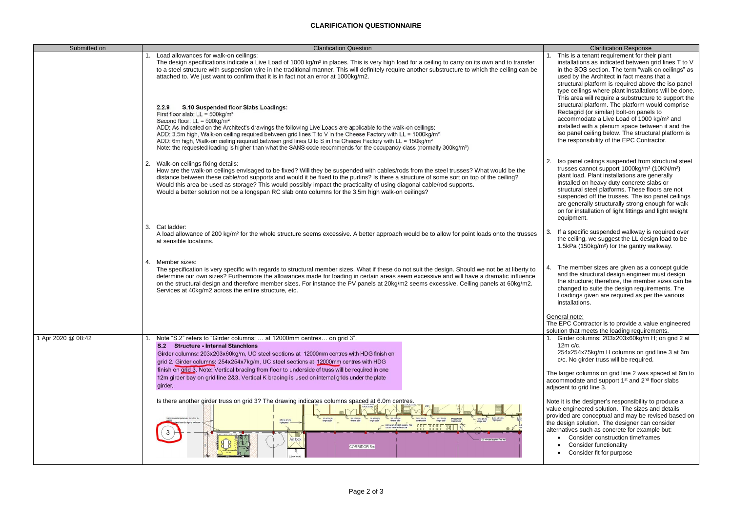#### **CLARIFICATION QUESTIONNAIRE**

# This is a tenant requirement for their plant installations as indicated between grid lines T to V in the SOS section. The term "walk on ceilings" as used by the Architect in fact means that a structural platform is required above the iso panel type ceilings where plant installations will be done. This area will require a substructure to support the structural platform. The platform would comprise Rectagrid (or similar) bolt-on panels to accommodate a Live Load of 1000 kg/m² and installed with a plenum space between it and the iso panel ceiling below. The structural platform is the responsibility of the EPC Contractor. Iso panel ceilings suspended from structural steel trusses cannot support 1000kg/m² (10KN/m²) plant load. Plant installations are generally installed on heavy duty concrete slabs or structural steel platforms. These floors are not suspended off the trusses. The iso panel ceilings

The member sizes are given as a concept quide and the structural design engineer must design the structure; therefore, the member sizes can be changed to suite the design requirements. The Loadings given are required as per the various installations.

#### eneral note:

| Submitted on       | <b>Clarification Question</b>                                                                                                                                                                                                                                                                                                                                                                                                                                                                                                                                                               | <b>Clarification Response</b>                                                                                                                                                                                                                                                                                                                     |
|--------------------|---------------------------------------------------------------------------------------------------------------------------------------------------------------------------------------------------------------------------------------------------------------------------------------------------------------------------------------------------------------------------------------------------------------------------------------------------------------------------------------------------------------------------------------------------------------------------------------------|---------------------------------------------------------------------------------------------------------------------------------------------------------------------------------------------------------------------------------------------------------------------------------------------------------------------------------------------------|
|                    | Load allowances for walk-on ceilings:<br>The design specifications indicate a Live Load of 1000 kg/m <sup>2</sup> in places. This is very high load for a ceiling to carry on its own and to transfer<br>to a steel structure with suspension wire in the traditional manner. This will definitely require another substructure to which the ceiling can be<br>attached to. We just want to confirm that it is in fact not an error at 1000kg/m2.<br>S.10 Suspended floor Slabs Loadings:<br>2.2.9                                                                                          | This is a tenant requirement for the<br>installations as indicated between<br>in the SOS section. The term "wall<br>used by the Architect in fact means<br>structural platform is required abov<br>type ceilings where plant installatic<br>This area will require a substructur<br>structural platform. The platform w                           |
|                    | First floor slab: $LL = 500$ kg/m <sup>2</sup><br>Second floor: $LL = 500kg/m^2$<br>ADD: As indicated on the Architect's drawings the following Live Loads are applicable to the walk-on ceilings:<br>ADD: 3.5m high, Walk-on ceiling required between grid lines T to V in the Cheese Factory with LL = 1000kg/m <sup>2</sup><br>ADD: 6m high, Walk-on ceiling required between grid lines Q to S in the Cheese Factory with LL = $150 \text{kg/m}^2$<br>Note: the requested loading is higher than what the SANS code recommends for the occupancy class (normally 300kg/m <sup>2</sup> ) | Rectagrid (or similar) bolt-on pane<br>accommodate a Live Load of 1000<br>installed with a plenum space betw<br>iso panel ceiling below. The struct<br>the responsibility of the EPC Contr                                                                                                                                                        |
|                    | 2. Walk-on ceilings fixing details:<br>How are the walk-on ceilings envisaged to be fixed? Will they be suspended with cables/rods from the steel trusses? What would be the<br>distance between these cable/rod supports and would it be fixed to the purlins? Is there a structure of some sort on top of the ceiling?<br>Would this area be used as storage? This would possibly impact the practicality of using diagonal cable/rod supports.<br>Would a better solution not be a longspan RC slab onto columns for the 3.5m high walk-on ceilings?                                     | Iso panel ceilings suspended from<br>trusses cannot support 1000kg/m <sup>2</sup><br>plant load. Plant installations are g<br>installed on heavy duty concrete s<br>structural steel platforms. These fle<br>suspended off the trusses. The isc<br>are generally structurally strong er<br>on for installation of light fittings an<br>equipment. |
|                    | 3. Cat ladder:<br>A load allowance of 200 kg/m <sup>2</sup> for the whole structure seems excessive. A better approach would be to allow for point loads onto the trusses<br>at sensible locations.                                                                                                                                                                                                                                                                                                                                                                                         | If a specific suspended walkway is<br>the ceiling, we suggest the LL desi<br>1.5kPa (150kg/m <sup>2</sup> ) for the gantry w                                                                                                                                                                                                                      |
|                    | 4. Member sizes:<br>The specification is very specific with regards to structural member sizes. What if these do not suit the design. Should we not be at liberty to<br>determine our own sizes? Furthermore the allowances made for loading in certain areas seem excessive and will have a dramatic influence<br>on the structural design and therefore member sizes. For instance the PV panels at 20kg/m2 seems excessive. Ceiling panels at 60kg/m2.<br>Services at 40kg/m2 across the entire structure, etc.                                                                          | The member sizes are given as a<br>and the structural design engineer<br>the structure; therefore, the memb<br>changed to suite the design require<br>Loadings given are required as pe<br>installations.                                                                                                                                         |
|                    |                                                                                                                                                                                                                                                                                                                                                                                                                                                                                                                                                                                             | General note:<br>The EPC Contractor is to provide a val<br>solution that meets the loading require                                                                                                                                                                                                                                                |
| 1 Apr 2020 @ 08:42 | Note "S.2" refers to "Girder columns:  at 12000mm centres on grid 3".<br><b>S.2 Structure - Internal Stanchions</b><br>Girder columns: 203x203x60kg/m, UC steel sections at 12000mm centres with HDG finish on<br>grid 2. Girder columns: 254x254x7kg/m, UC steel sections at 12000mm centres with HDG<br>finish on grid 3. Note: Vertical bracing from floor to underside of truss will be required in one<br>12m girder bay on grid line 2&3. Vertical K bracing is used on internal grids under the plate                                                                                | Girder columns: 203x203x60kg/m<br>$12m$ c/c.<br>254x254x75kg/m H columns on gr<br>c/c. No girder truss will be required<br>The larger columns on grid line 2 was                                                                                                                                                                                  |
|                    | girder.                                                                                                                                                                                                                                                                                                                                                                                                                                                                                                                                                                                     | accommodate and support 1 <sup>st</sup> and 2 <sup>nd</sup><br>adjacent to grid line 3.                                                                                                                                                                                                                                                           |
|                    | Is there another girder truss on grid 3? The drawing indicates columns spaced at 6.0m centres.<br>2.5m x 3m (h)<br>Sümm insulated panel wall from floor t<br>$1m \times 2m(h)$<br>$2m \times 2m(h)$<br>$-$ 1m x 2m (h)<br>$2m \times 2m$ (h<br>$1m \times 2m(h)$<br>TRANSPORT<br>CORRIDOR<br>$2.5m \times 3m(h)$<br><b>EXTERN</b><br>Air lock<br>minutes isophen Fire wall<br>CORRIDOR 5m                                                                                                                                                                                                   | Note it is the designer's responsibility t<br>value engineered solution. The sizes a<br>provided are conceptual and may be re<br>the design solution. The designer can<br>alternatives such as concrete for exam<br>Consider construction timefran<br><b>Consider functionality</b><br>Consider fit for purpose                                   |

are generally structurally strong enough for walk on for installation of light fittings and light weight

ne EPC Contractor is to provide a value engineered lution that meets the loading requirements.

the ceiling, we suggest the LL design load to be 1.5kPa (150kg/m²) for the gantry walkway.

If a specific suspended walkway is required over

- 1. Girder columns: 203x203x60kg/m H; on grid 2 at 12m c/c.
- 254x254x75kg/m H columns on grid line 3 at 6m c/c. No girder truss will be required.

e larger columns on grid line 2 was spaced at 6m to accommodate and support  $1<sup>st</sup>$  and  $2<sup>nd</sup>$  floor slabs jacent to grid line 3.

ote it is the designer's responsibility to produce a lue engineered solution. The sizes and details ovided are conceptual and may be revised based on e design solution. The designer can consider ernatives such as concrete for example but:

- Consider construction timeframes
- Consider functionality
- Consider fit for purpose